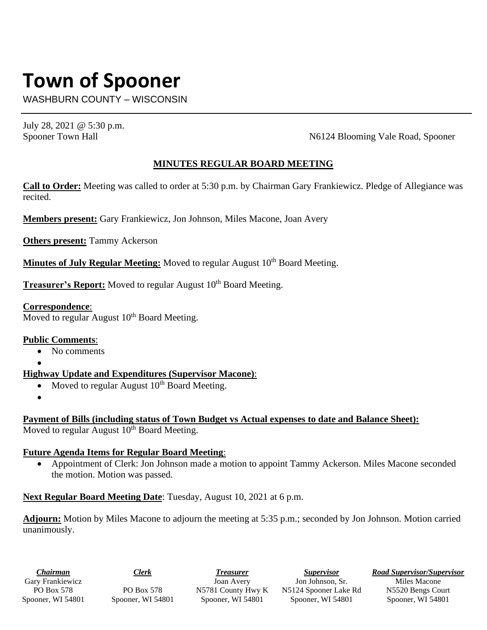# **Town of Spooner**

WASHBURN COUNTY – WISCONSIN

July 28, 2021 @ 5:30 p.m.

Spooner Town Hall N6124 Blooming Vale Road, Spooner

## **MINUTES REGULAR BOARD MEETING**

**Call to Order:** Meeting was called to order at 5:30 p.m. by Chairman Gary Frankiewicz. Pledge of Allegiance was recited.

**Members present:** Gary Frankiewicz, Jon Johnson, Miles Macone, Joan Avery

**Others present:** Tammy Ackerson

**Minutes of July Regular Meeting:** Moved to regular August 10<sup>th</sup> Board Meeting.

**Treasurer's Report:** Moved to regular August 10<sup>th</sup> Board Meeting.

### **Correspondence**:

Moved to regular August 10<sup>th</sup> Board Meeting.

#### **Public Comments**:

- No comments
- •

# **Highway Update and Expenditures (Supervisor Macone)**:

- Moved to regular August  $10^{th}$  Board Meeting.
- •

**Payment of Bills (including status of Town Budget vs Actual expenses to date and Balance Sheet):** Moved to regular August 10<sup>th</sup> Board Meeting.

# **Future Agenda Items for Regular Board Meeting**:

• Appointment of Clerk: Jon Johnson made a motion to appoint Tammy Ackerson. Miles Macone seconded the motion. Motion was passed.

**Next Regular Board Meeting Date**: Tuesday, August 10, 2021 at 6 p.m.

**Adjourn:** Motion by Miles Macone to adjourn the meeting at 5:35 p.m.; seconded by Jon Johnson. Motion carried unanimously.

*Chairman* Gary Frankiewicz PO Box 578 Spooner, WI 54801

PO Box 578 Spooner, WI 54801

*Treasurer* Joan Avery N5781 County Hwy K Spooner, WI 54801

*Supervisor* Jon Johnson, Sr. N5124 Spooner Lake Rd Spooner, WI 54801

*Road Supervisor/Supervisor*

Miles Macone N5520 Bengs Court Spooner, WI 54801